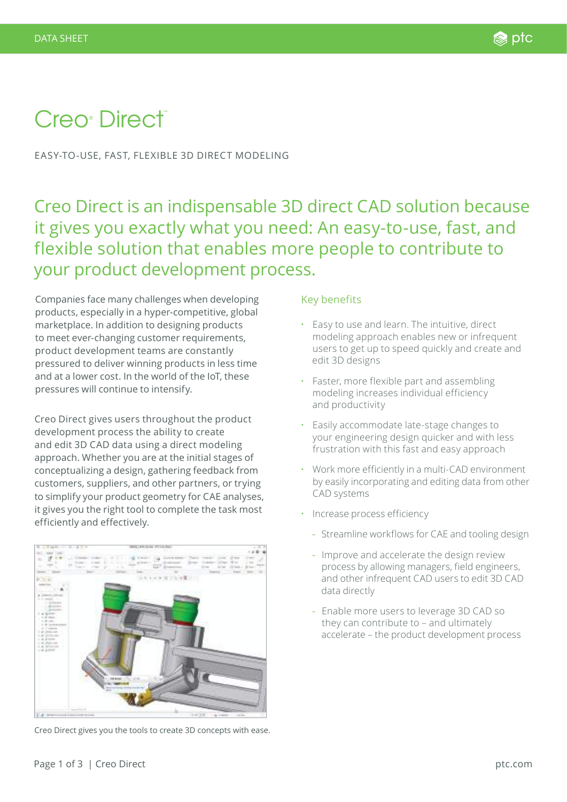# Creo<sup>®</sup> Direct™

EASY-TO-USE, FAST, FLEXIBLE 3D DIRECT MODELING

Creo Direct is an indispensable 3D direct CAD solution because it gives you exactly what you need: An easy-to-use, fast, and flexible solution that enables more people to contribute to your product development process.

Companies face many challenges when developing products, especially in a hyper-competitive, global marketplace. In addition to designing products to meet ever-changing customer requirements, product development teams are constantly pressured to deliver winning products in less time and at a lower cost. In the world of the IoT, these pressures will continue to intensify.

Creo Direct gives users throughout the product development process the ability to create and edit 3D CAD data using a direct modeling approach. Whether you are at the initial stages of conceptualizing a design, gathering feedback from customers, suppliers, and other partners, or trying to simplify your product geometry for CAE analyses, it gives you the right tool to complete the task most efficiently and effectively.



Creo Direct gives you the tools to create 3D concepts with ease.

## Key benefits

- Easy to use and learn. The intuitive, direct modeling approach enables new or infrequent users to get up to speed quickly and create and edit 3D designs
- Faster, more flexible part and assembling modeling increases individual efficiency and productivity
- Easily accommodate late-stage changes to your engineering design quicker and with less frustration with this fast and easy approach
- Work more efficiently in a multi-CAD environment by easily incorporating and editing data from other CAD systems
- Increase process efficiency
	- Streamline workflows for CAE and tooling design
	- Improve and accelerate the design review process by allowing managers, field engineers, and other infrequent CAD users to edit 3D CAD data directly
	- Enable more users to leverage 3D CAD so they can contribute to – and ultimately accelerate – the product development process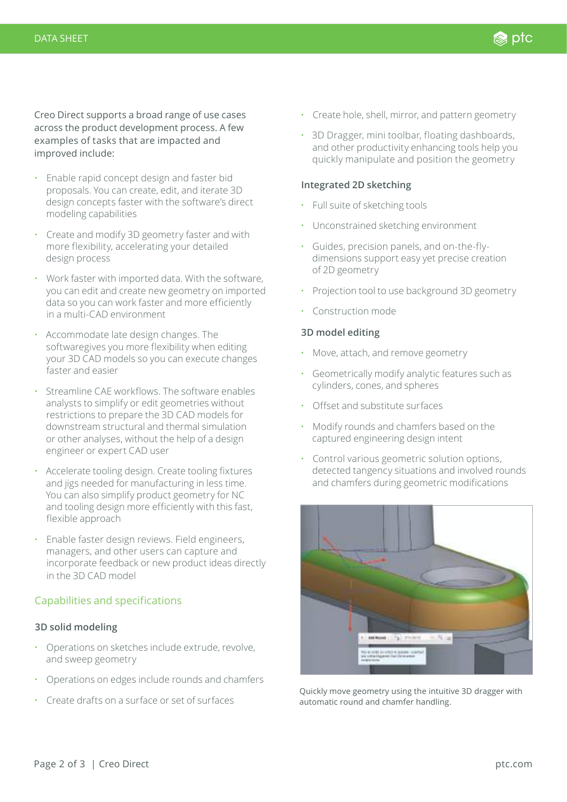Creo Direct supports a broad range of use cases across the product development process. A few examples of tasks that are impacted and improved include:

- Enable rapid concept design and faster bid proposals. You can create, edit, and iterate 3D design concepts faster with the software's direct modeling capabilities
- Create and modify 3D geometry faster and with more flexibility, accelerating your detailed design process
- Work faster with imported data. With the software, you can edit and create new geometry on imported data so you can work faster and more efficiently in a multi-CAD environment
- Accommodate late design changes. The softwaregives you more flexibility when editing your 3D CAD models so you can execute changes faster and easier
- Streamline CAE workflows. The software enables analysts to simplify or edit geometries without restrictions to prepare the 3D CAD models for downstream structural and thermal simulation or other analyses, without the help of a design engineer or expert CAD user
- Accelerate tooling design. Create tooling fixtures and jigs needed for manufacturing in less time. You can also simplify product geometry for NC and tooling design more efficiently with this fast, flexible approach
- Enable faster design reviews. Field engineers, managers, and other users can capture and incorporate feedback or new product ideas directly in the 3D CAD model

## Capabilities and specifications

## **3D solid modeling**

- Operations on sketches include extrude, revolve, and sweep geometry
- Operations on edges include rounds and chamfers
- Create drafts on a surface or set of surfaces
- Create hole, shell, mirror, and pattern geometry
- 3D Dragger, mini toolbar, floating dashboards, and other productivity enhancing tools help you quickly manipulate and position the geometry

#### **Integrated 2D sketching**

- Full suite of sketching tools
- Unconstrained sketching environment
- Guides, precision panels, and on-the-flydimensions support easy yet precise creation of 2D geometry
- Projection tool to use background 3D geometry
- Construction mode

#### **3D model editing**

- Move, attach, and remove geometry
- Geometrically modify analytic features such as cylinders, cones, and spheres
- Offset and substitute surfaces
- Modify rounds and chamfers based on the captured engineering design intent
- Control various geometric solution options, detected tangency situations and involved rounds and chamfers during geometric modifications



Quickly move geometry using the intuitive 3D dragger with automatic round and chamfer handling.